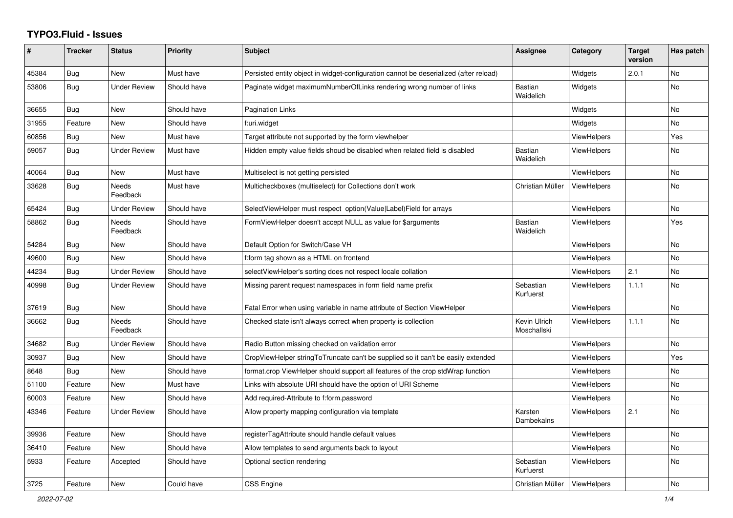## **TYPO3.Fluid - Issues**

| #     | <b>Tracker</b> | <b>Status</b>            | <b>Priority</b> | <b>Subject</b>                                                                        | Assignee                    | Category           | <b>Target</b><br>version | Has patch      |
|-------|----------------|--------------------------|-----------------|---------------------------------------------------------------------------------------|-----------------------------|--------------------|--------------------------|----------------|
| 45384 | Bug            | <b>New</b>               | Must have       | Persisted entity object in widget-configuration cannot be deserialized (after reload) |                             | Widgets            | 2.0.1                    | No             |
| 53806 | Bug            | <b>Under Review</b>      | Should have     | Paginate widget maximumNumberOfLinks rendering wrong number of links                  | Bastian<br>Waidelich        | Widgets            |                          | No             |
| 36655 | Bug            | <b>New</b>               | Should have     | <b>Pagination Links</b>                                                               |                             | Widgets            |                          | <b>No</b>      |
| 31955 | Feature        | <b>New</b>               | Should have     | f:uri.widget                                                                          |                             | Widgets            |                          | <b>No</b>      |
| 60856 | Bug            | <b>New</b>               | Must have       | Target attribute not supported by the form viewhelper                                 |                             | ViewHelpers        |                          | Yes            |
| 59057 | Bug            | <b>Under Review</b>      | Must have       | Hidden empty value fields shoud be disabled when related field is disabled            | Bastian<br>Waidelich        | <b>ViewHelpers</b> |                          | No             |
| 40064 | <b>Bug</b>     | <b>New</b>               | Must have       | Multiselect is not getting persisted                                                  |                             | ViewHelpers        |                          | <b>No</b>      |
| 33628 | Bug            | <b>Needs</b><br>Feedback | Must have       | Multicheckboxes (multiselect) for Collections don't work                              | Christian Müller            | <b>ViewHelpers</b> |                          | <b>No</b>      |
| 65424 | <b>Bug</b>     | <b>Under Review</b>      | Should have     | SelectViewHelper must respect option(Value Label)Field for arrays                     |                             | ViewHelpers        |                          | N <sub>o</sub> |
| 58862 | <b>Bug</b>     | Needs<br>Feedback        | Should have     | FormViewHelper doesn't accept NULL as value for \$arguments                           | Bastian<br>Waidelich        | <b>ViewHelpers</b> |                          | Yes            |
| 54284 | Bug            | New                      | Should have     | Default Option for Switch/Case VH                                                     |                             | <b>ViewHelpers</b> |                          | <b>No</b>      |
| 49600 | <b>Bug</b>     | <b>New</b>               | Should have     | f:form tag shown as a HTML on frontend                                                |                             | ViewHelpers        |                          | <b>No</b>      |
| 44234 | <b>Bug</b>     | <b>Under Review</b>      | Should have     | selectViewHelper's sorting does not respect locale collation                          |                             | <b>ViewHelpers</b> | 2.1                      | <b>No</b>      |
| 40998 | <b>Bug</b>     | <b>Under Review</b>      | Should have     | Missing parent request namespaces in form field name prefix                           | Sebastian<br>Kurfuerst      | ViewHelpers        | 1.1.1                    | No             |
| 37619 | Bug            | New                      | Should have     | Fatal Error when using variable in name attribute of Section ViewHelper               |                             | ViewHelpers        |                          | <b>No</b>      |
| 36662 | Bug            | Needs<br>Feedback        | Should have     | Checked state isn't always correct when property is collection                        | Kevin Ulrich<br>Moschallski | <b>ViewHelpers</b> | 1.1.1                    | No             |
| 34682 | Bug            | <b>Under Review</b>      | Should have     | Radio Button missing checked on validation error                                      |                             | <b>ViewHelpers</b> |                          | <b>No</b>      |
| 30937 | Bug            | <b>New</b>               | Should have     | CropViewHelper stringToTruncate can't be supplied so it can't be easily extended      |                             | <b>ViewHelpers</b> |                          | Yes            |
| 8648  | Bug            | <b>New</b>               | Should have     | format.crop ViewHelper should support all features of the crop stdWrap function       |                             | <b>ViewHelpers</b> |                          | <b>No</b>      |
| 51100 | Feature        | New                      | Must have       | Links with absolute URI should have the option of URI Scheme                          |                             | <b>ViewHelpers</b> |                          | <b>No</b>      |
| 60003 | Feature        | <b>New</b>               | Should have     | Add required-Attribute to f:form.password                                             |                             | <b>ViewHelpers</b> |                          | No             |
| 43346 | Feature        | <b>Under Review</b>      | Should have     | Allow property mapping configuration via template                                     | Karsten<br>Dambekalns       | <b>ViewHelpers</b> | 2.1                      | No             |
| 39936 | Feature        | <b>New</b>               | Should have     | registerTagAttribute should handle default values                                     |                             | <b>ViewHelpers</b> |                          | <b>No</b>      |
| 36410 | Feature        | <b>New</b>               | Should have     | Allow templates to send arguments back to layout                                      |                             | <b>ViewHelpers</b> |                          | <b>No</b>      |
| 5933  | Feature        | Accepted                 | Should have     | Optional section rendering                                                            | Sebastian<br>Kurfuerst      | ViewHelpers        |                          | <b>No</b>      |
| 3725  | Feature        | <b>New</b>               | Could have      | <b>CSS Engine</b>                                                                     | Christian Müller            | ViewHelpers        |                          | No             |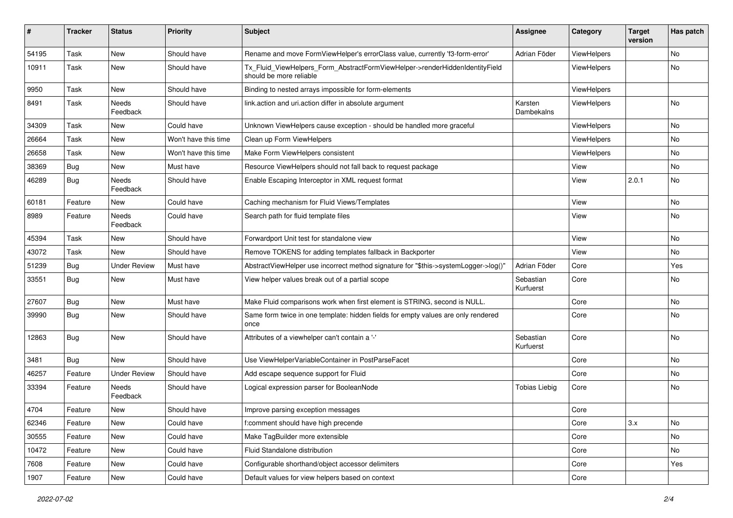| #     | <b>Tracker</b> | <b>Status</b>       | <b>Priority</b>      | <b>Subject</b>                                                                                         | Assignee               | Category           | <b>Target</b><br>version | Has patch |
|-------|----------------|---------------------|----------------------|--------------------------------------------------------------------------------------------------------|------------------------|--------------------|--------------------------|-----------|
| 54195 | Task           | New                 | Should have          | Rename and move FormViewHelper's errorClass value, currently 'f3-form-error'                           | Adrian Föder           | ViewHelpers        |                          | No        |
| 10911 | Task           | New                 | Should have          | Tx_Fluid_ViewHelpers_Form_AbstractFormViewHelper->renderHiddenIdentityField<br>should be more reliable |                        | <b>ViewHelpers</b> |                          | No        |
| 9950  | Task           | New                 | Should have          | Binding to nested arrays impossible for form-elements                                                  |                        | ViewHelpers        |                          |           |
| 8491  | Task           | Needs<br>Feedback   | Should have          | link.action and uri.action differ in absolute argument                                                 | Karsten<br>Dambekalns  | ViewHelpers        |                          | No        |
| 34309 | Task           | New                 | Could have           | Unknown ViewHelpers cause exception - should be handled more graceful                                  |                        | ViewHelpers        |                          | No        |
| 26664 | Task           | New                 | Won't have this time | Clean up Form ViewHelpers                                                                              |                        | ViewHelpers        |                          | No        |
| 26658 | Task           | New                 | Won't have this time | Make Form ViewHelpers consistent                                                                       |                        | ViewHelpers        |                          | No        |
| 38369 | Bug            | New                 | Must have            | Resource ViewHelpers should not fall back to request package                                           |                        | View               |                          | <b>No</b> |
| 46289 | Bug            | Needs<br>Feedback   | Should have          | Enable Escaping Interceptor in XML request format                                                      |                        | View               | 2.0.1                    | No        |
| 60181 | Feature        | New                 | Could have           | Caching mechanism for Fluid Views/Templates                                                            |                        | View               |                          | No        |
| 8989  | Feature        | Needs<br>Feedback   | Could have           | Search path for fluid template files                                                                   |                        | View               |                          | <b>No</b> |
| 45394 | Task           | New                 | Should have          | Forwardport Unit test for standalone view                                                              |                        | View               |                          | <b>No</b> |
| 43072 | Task           | New                 | Should have          | Remove TOKENS for adding templates fallback in Backporter                                              |                        | View               |                          | No        |
| 51239 | Bug            | <b>Under Review</b> | Must have            | AbstractViewHelper use incorrect method signature for "\$this->systemLogger->log()"                    | Adrian Föder           | Core               |                          | Yes       |
| 33551 | Bug            | New                 | Must have            | View helper values break out of a partial scope                                                        | Sebastian<br>Kurfuerst | Core               |                          | No        |
| 27607 | Bug            | New                 | Must have            | Make Fluid comparisons work when first element is STRING, second is NULL.                              |                        | Core               |                          | No        |
| 39990 | Bug            | New                 | Should have          | Same form twice in one template: hidden fields for empty values are only rendered<br>once              |                        | Core               |                          | No        |
| 12863 | Bug            | New                 | Should have          | Attributes of a viewhelper can't contain a '-'                                                         | Sebastian<br>Kurfuerst | Core               |                          | <b>No</b> |
| 3481  | Bug            | <b>New</b>          | Should have          | Use ViewHelperVariableContainer in PostParseFacet                                                      |                        | Core               |                          | No        |
| 46257 | Feature        | <b>Under Review</b> | Should have          | Add escape sequence support for Fluid                                                                  |                        | Core               |                          | No        |
| 33394 | Feature        | Needs<br>Feedback   | Should have          | Logical expression parser for BooleanNode                                                              | <b>Tobias Liebig</b>   | Core               |                          | No        |
| 4704  | Feature        | New                 | Should have          | Improve parsing exception messages                                                                     |                        | Core               |                          |           |
| 62346 | Feature        | New                 | Could have           | f:comment should have high precende                                                                    |                        | Core               | 3.x                      | No        |
| 30555 | Feature        | New                 | Could have           | Make TagBuilder more extensible                                                                        |                        | Core               |                          | No        |
| 10472 | Feature        | New                 | Could have           | Fluid Standalone distribution                                                                          |                        | Core               |                          | No        |
| 7608  | Feature        | New                 | Could have           | Configurable shorthand/object accessor delimiters                                                      |                        | Core               |                          | Yes       |
| 1907  | Feature        | New                 | Could have           | Default values for view helpers based on context                                                       |                        | Core               |                          |           |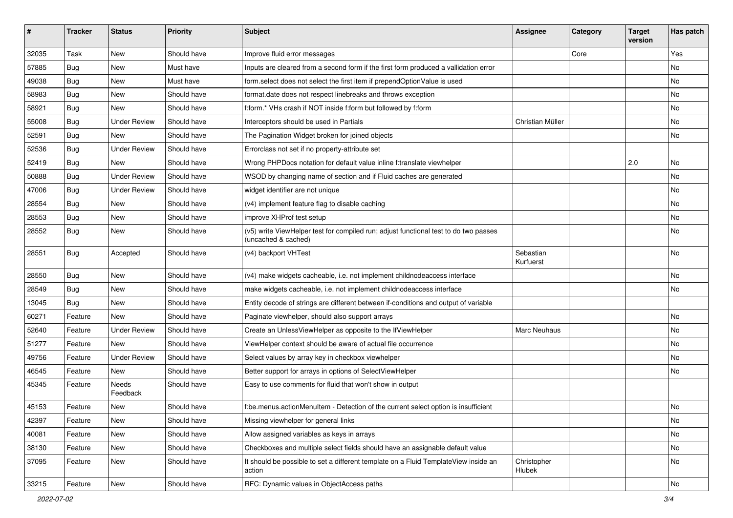| ∦     | <b>Tracker</b> | <b>Status</b>       | <b>Priority</b> | <b>Subject</b>                                                                                              | Assignee               | Category | <b>Target</b><br>version | Has patch     |
|-------|----------------|---------------------|-----------------|-------------------------------------------------------------------------------------------------------------|------------------------|----------|--------------------------|---------------|
| 32035 | Task           | New                 | Should have     | Improve fluid error messages                                                                                |                        | Core     |                          | Yes           |
| 57885 | Bug            | New                 | Must have       | Inputs are cleared from a second form if the first form produced a vallidation error                        |                        |          |                          | No            |
| 49038 | <b>Bug</b>     | New                 | Must have       | form select does not select the first item if prependOptionValue is used                                    |                        |          |                          | No            |
| 58983 | Bug            | New                 | Should have     | format.date does not respect linebreaks and throws exception                                                |                        |          |                          | No            |
| 58921 | Bug            | New                 | Should have     | f:form.* VHs crash if NOT inside f:form but followed by f:form                                              |                        |          |                          | No            |
| 55008 | Bug            | <b>Under Review</b> | Should have     | Interceptors should be used in Partials                                                                     | Christian Müller       |          |                          | No            |
| 52591 | Bug            | New                 | Should have     | The Pagination Widget broken for joined objects                                                             |                        |          |                          | No            |
| 52536 | Bug            | <b>Under Review</b> | Should have     | Errorclass not set if no property-attribute set                                                             |                        |          |                          |               |
| 52419 | Bug            | <b>New</b>          | Should have     | Wrong PHPDocs notation for default value inline f:translate viewhelper                                      |                        |          | 2.0                      | No            |
| 50888 | Bug            | <b>Under Review</b> | Should have     | WSOD by changing name of section and if Fluid caches are generated                                          |                        |          |                          | No            |
| 47006 | Bug            | <b>Under Review</b> | Should have     | widget identifier are not unique                                                                            |                        |          |                          | No            |
| 28554 | Bug            | New                 | Should have     | (v4) implement feature flag to disable caching                                                              |                        |          |                          | No            |
| 28553 | Bug            | New                 | Should have     | improve XHProf test setup                                                                                   |                        |          |                          | No            |
| 28552 | Bug            | New                 | Should have     | (v5) write ViewHelper test for compiled run; adjust functional test to do two passes<br>(uncached & cached) |                        |          |                          | No            |
| 28551 | <b>Bug</b>     | Accepted            | Should have     | (v4) backport VHTest                                                                                        | Sebastian<br>Kurfuerst |          |                          | No            |
| 28550 | Bug            | New                 | Should have     | (v4) make widgets cacheable, i.e. not implement childnodeaccess interface                                   |                        |          |                          | No            |
| 28549 | Bug            | New                 | Should have     | make widgets cacheable, i.e. not implement childnodeaccess interface                                        |                        |          |                          | No            |
| 13045 | Bug            | New                 | Should have     | Entity decode of strings are different between if-conditions and output of variable                         |                        |          |                          |               |
| 60271 | Feature        | New                 | Should have     | Paginate viewhelper, should also support arrays                                                             |                        |          |                          | No            |
| 52640 | Feature        | <b>Under Review</b> | Should have     | Create an UnlessViewHelper as opposite to the IfViewHelper                                                  | Marc Neuhaus           |          |                          | No            |
| 51277 | Feature        | New                 | Should have     | ViewHelper context should be aware of actual file occurrence                                                |                        |          |                          | No            |
| 49756 | Feature        | <b>Under Review</b> | Should have     | Select values by array key in checkbox viewhelper                                                           |                        |          |                          | No            |
| 46545 | Feature        | New                 | Should have     | Better support for arrays in options of SelectViewHelper                                                    |                        |          |                          | No            |
| 45345 | Feature        | Needs<br>Feedback   | Should have     | Easy to use comments for fluid that won't show in output                                                    |                        |          |                          |               |
| 45153 | Feature        | New                 | Should have     | f:be.menus.actionMenuItem - Detection of the current select option is insufficient                          |                        |          |                          | No            |
| 42397 | Feature        | New                 | Should have     | Missing viewhelper for general links                                                                        |                        |          |                          | No            |
| 40081 | Feature        | New                 | Should have     | Allow assigned variables as keys in arrays                                                                  |                        |          |                          | No            |
| 38130 | Feature        | New                 | Should have     | Checkboxes and multiple select fields should have an assignable default value                               |                        |          |                          | No            |
| 37095 | Feature        | New                 | Should have     | It should be possible to set a different template on a Fluid TemplateView inside an<br>action               | Christopher<br>Hlubek  |          |                          | No            |
| 33215 | Feature        | New                 | Should have     | RFC: Dynamic values in ObjectAccess paths                                                                   |                        |          |                          | $\mathsf{No}$ |